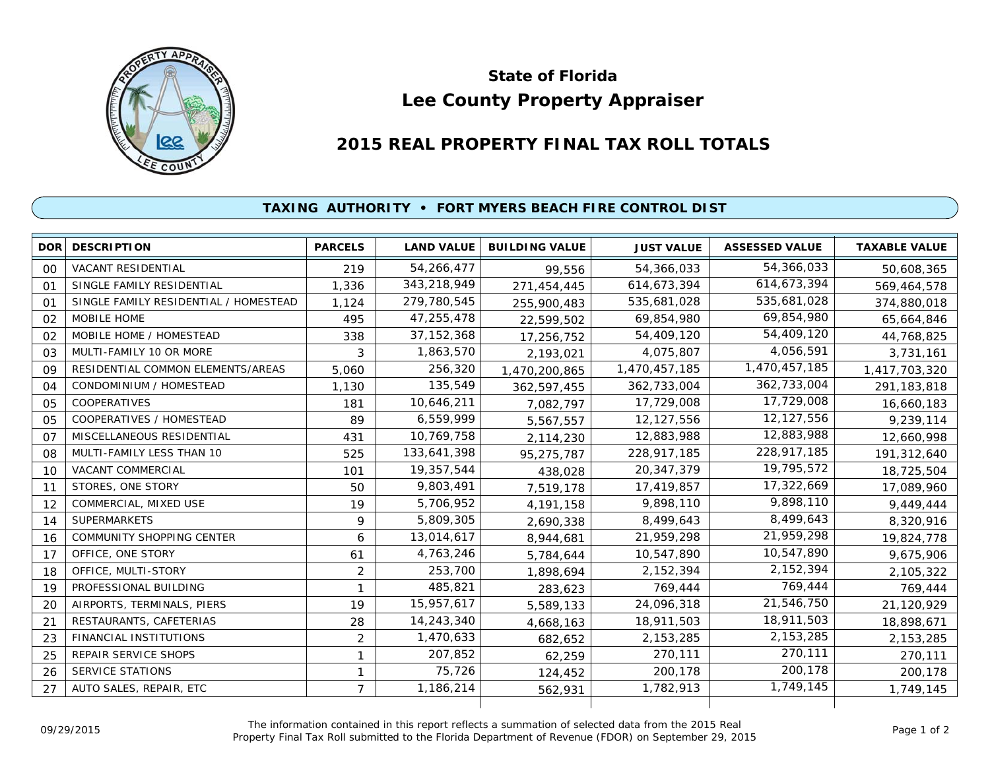

## **Lee County Property Appraiser State of Florida**

## **2015 REAL PROPERTY FINAL TAX ROLL TOTALS**

## **TAXING AUTHORITY • FORT MYERS BEACH FIRE CONTROL DIST**

|                | <b>DOR DESCRIPTION</b>                | <b>PARCELS</b> | <b>LAND VALUE</b> | <b>BUILDING VALUE</b> | <b>JUST VALUE</b> | <b>ASSESSED VALUE</b> | <b>TAXABLE VALUE</b> |
|----------------|---------------------------------------|----------------|-------------------|-----------------------|-------------------|-----------------------|----------------------|
| 00             | <b>VACANT RESIDENTIAL</b>             | 219            | 54,266,477        | 99,556                | 54,366,033        | 54,366,033            | 50,608,365           |
| 01             | SINGLE FAMILY RESIDENTIAL             | 1,336          | 343,218,949       | 271,454,445           | 614,673,394       | 614,673,394           | 569,464,578          |
| O <sub>1</sub> | SINGLE FAMILY RESIDENTIAL / HOMESTEAD | 1,124          | 279,780,545       | 255,900,483           | 535,681,028       | 535,681,028           | 374,880,018          |
| 02             | MOBILE HOME                           | 495            | 47,255,478        | 22,599,502            | 69,854,980        | 69,854,980            | 65,664,846           |
| 02             | MOBILE HOME / HOMESTEAD               | 338            | 37, 152, 368      | 17,256,752            | 54,409,120        | 54,409,120            | 44,768,825           |
| 03             | MULTI-FAMILY 10 OR MORE               | 3              | 1,863,570         | 2,193,021             | 4,075,807         | 4,056,591             | 3,731,161            |
| 09             | RESIDENTIAL COMMON ELEMENTS/AREAS     | 5,060          | 256,320           | 1,470,200,865         | 1,470,457,185     | 1,470,457,185         | 1,417,703,320        |
| 04             | CONDOMINIUM / HOMESTEAD               | 1,130          | 135,549           | 362,597,455           | 362,733,004       | 362,733,004           | 291, 183, 818        |
| 05             | <b>COOPERATIVES</b>                   | 181            | 10,646,211        | 7,082,797             | 17,729,008        | 17,729,008            | 16,660,183           |
| 05             | COOPERATIVES / HOMESTEAD              | 89             | 6,559,999         | 5,567,557             | 12,127,556        | 12,127,556            | 9,239,114            |
| O <sub>7</sub> | MISCELLANEOUS RESIDENTIAL             | 431            | 10,769,758        | 2,114,230             | 12,883,988        | 12,883,988            | 12,660,998           |
| 08             | MULTI-FAMILY LESS THAN 10             | 525            | 133,641,398       | 95,275,787            | 228,917,185       | 228,917,185           | 191,312,640          |
| 10             | VACANT COMMERCIAL                     | 101            | 19,357,544        | 438,028               | 20, 347, 379      | 19,795,572            | 18,725,504           |
| 11             | STORES, ONE STORY                     | 50             | 9,803,491         | 7,519,178             | 17,419,857        | 17,322,669            | 17,089,960           |
| 12             | COMMERCIAL, MIXED USE                 | 19             | 5,706,952         | 4, 191, 158           | 9,898,110         | 9,898,110             | 9,449,444            |
| 14             | <b>SUPERMARKETS</b>                   | 9              | 5,809,305         | 2,690,338             | 8,499,643         | 8,499,643             | 8,320,916            |
| 16             | COMMUNITY SHOPPING CENTER             | 6              | 13,014,617        | 8,944,681             | 21,959,298        | 21,959,298            | 19,824,778           |
| 17             | OFFICE, ONE STORY                     | 61             | 4,763,246         | 5,784,644             | 10,547,890        | 10,547,890            | 9,675,906            |
| 18             | OFFICE, MULTI-STORY                   | 2              | 253,700           | 1,898,694             | 2,152,394         | 2,152,394             | 2,105,322            |
| 19             | PROFESSIONAL BUILDING                 | 1              | 485,821           | 283,623               | 769,444           | 769,444               | 769,444              |
| 20             | AIRPORTS, TERMINALS, PIERS            | 19             | 15,957,617        | 5,589,133             | 24,096,318        | 21,546,750            | 21,120,929           |
| 21             | RESTAURANTS, CAFETERIAS               | 28             | 14,243,340        | 4,668,163             | 18,911,503        | 18,911,503            | 18,898,671           |
| 23             | FINANCIAL INSTITUTIONS                | $\overline{2}$ | 1,470,633         | 682,652               | 2,153,285         | 2, 153, 285           | 2, 153, 285          |
| 25             | <b>REPAIR SERVICE SHOPS</b>           | 1              | 207,852           | 62,259                | 270,111           | 270,111               | 270,111              |
| 26             | <b>SERVICE STATIONS</b>               | 1              | 75,726            | 124,452               | 200,178           | 200,178               | 200,178              |
| 27             | AUTO SALES, REPAIR, ETC               | $\overline{7}$ | 1,186,214         | 562,931               | 1,782,913         | 1,749,145             | 1,749,145            |
|                |                                       |                |                   |                       |                   |                       |                      |

The information contained in this report reflects a summation of selected data from the 2015 Real Ine information contained in this report reflects a summation of selected data from the 2015 Real<br>Property Final Tax Roll submitted to the Florida Department of Revenue (FDOR) on September 29, 2015